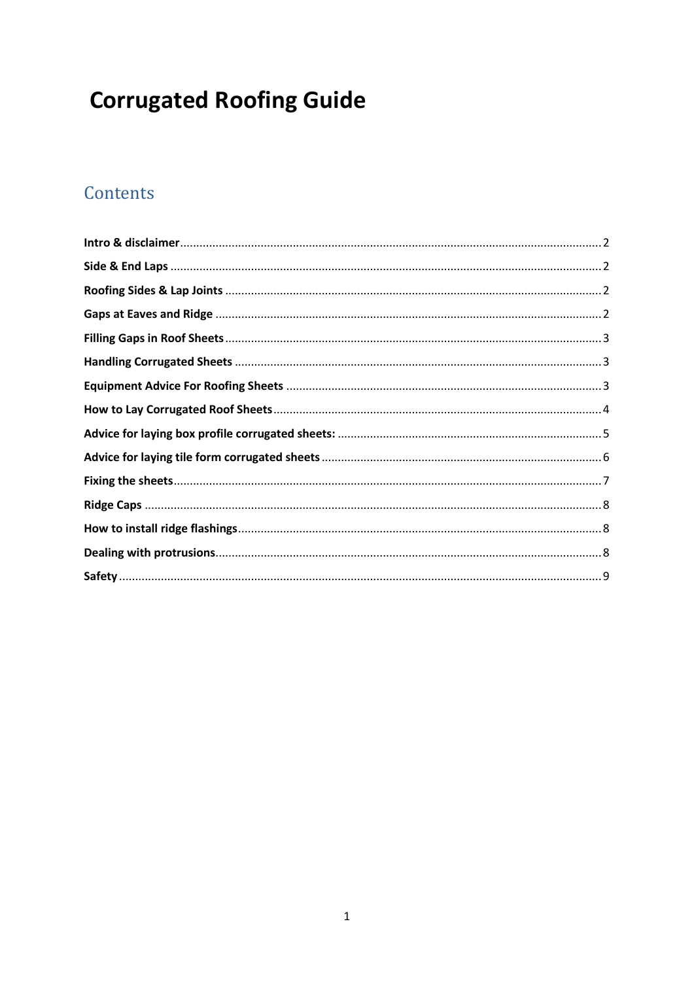# **Corrugated Roofing Guide**

## Contents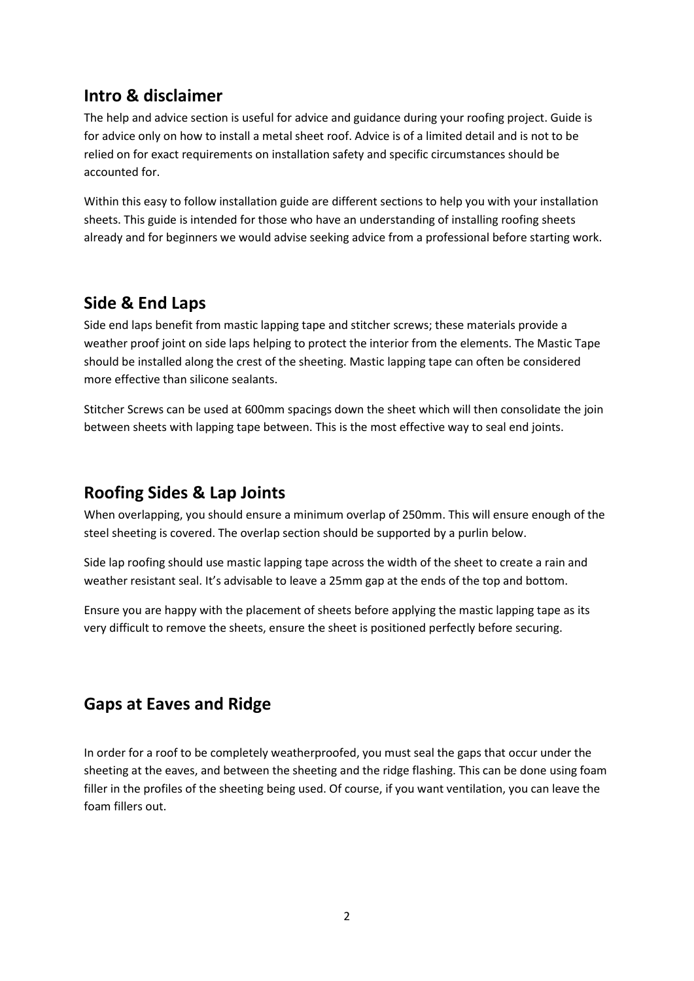#### <span id="page-1-0"></span>**Intro & disclaimer**

The help and advice section is useful for advice and guidance during your roofing project. Guide is for advice only on how to install a metal sheet roof. Advice is of a limited detail and is not to be relied on for exact requirements on installation safety and specific circumstances should be accounted for.

Within this easy to follow installation guide are different sections to help you with your installation sheets. This guide is intended for those who have an understanding of installing roofing sheets already and for beginners we would advise seeking advice from a professional before starting work.

#### <span id="page-1-1"></span>**Side & End Laps**

Side end laps benefit from mastic lapping tape and stitcher screws; these materials provide a weather proof joint on side laps helping to protect the interior from the elements. The Mastic Tape should be installed along the crest of the sheeting. Mastic lapping tape can often be considered more effective than silicone sealants.

Stitcher Screws can be used at 600mm spacings down the sheet which will then consolidate the join between sheets with lapping tape between. This is the most effective way to seal end joints.

#### <span id="page-1-2"></span>**Roofing Sides & Lap Joints**

When overlapping, you should ensure a minimum overlap of 250mm. This will ensure enough of the steel sheeting is covered. The overlap section should be supported by a purlin below.

Side lap roofing should use mastic lapping tape across the width of the sheet to create a rain and weather resistant seal. It's advisable to leave a 25mm gap at the ends of the top and bottom.

Ensure you are happy with the placement of sheets before applying the mastic lapping tape as its very difficult to remove the sheets, ensure the sheet is positioned perfectly before securing.

## <span id="page-1-3"></span>**Gaps at Eaves and Ridge**

In order for a roof to be completely weatherproofed, you must seal the gaps that occur under the sheeting at the eaves, and between the sheeting and the ridge flashing. This can be done using foam filler in the profiles of the sheeting being used. Of course, if you want ventilation, you can leave the foam fillers out.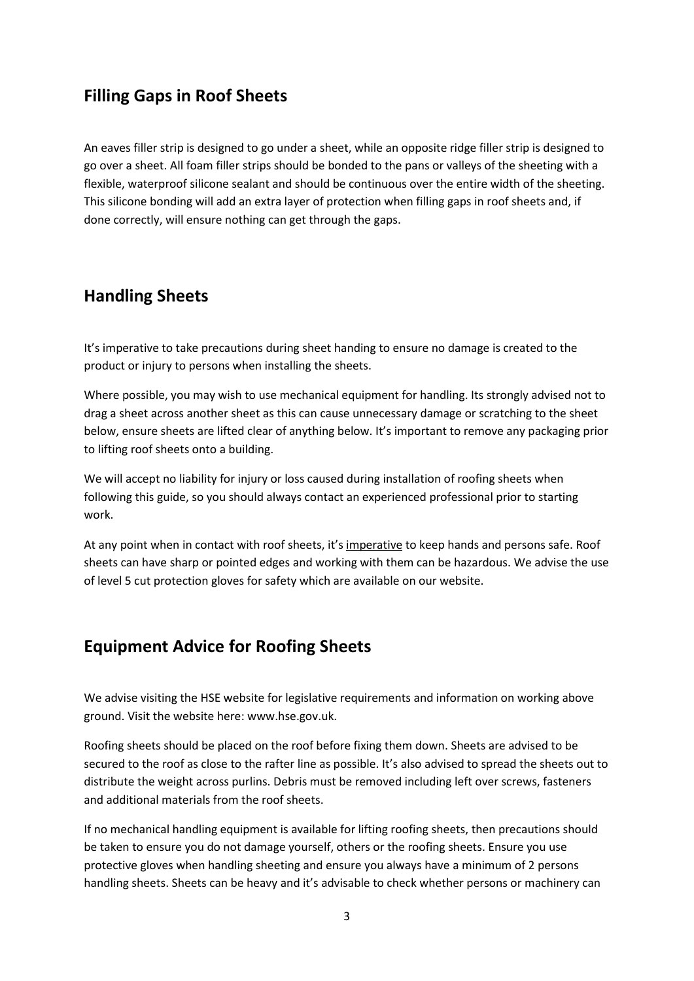#### <span id="page-2-0"></span>**Filling Gaps in Roof Sheets**

An eaves filler strip is designed to go under a sheet, while an opposite ridge filler strip is designed to go over a sheet. All foam filler strips should be bonded to the pans or valleys of the sheeting with a flexible, waterproof silicone sealant and should be continuous over the entire width of the sheeting. This silicone bonding will add an extra layer of protection when filling gaps in roof sheets and, if done correctly, will ensure nothing can get through the gaps.

#### <span id="page-2-1"></span>**Handling Sheets**

It's imperative to take precautions during sheet handing to ensure no damage is created to the product or injury to persons when installing the sheets.

Where possible, you may wish to use mechanical equipment for handling. Its strongly advised not to drag a sheet across another sheet as this can cause unnecessary damage or scratching to the sheet below, ensure sheets are lifted clear of anything below. It's important to remove any packaging prior to lifting roof sheets onto a building.

We will accept no liability for injury or loss caused during installation of roofing sheets when following this guide, so you should always contact an experienced professional prior to starting work.

At any point when in contact with roof sheets, it's imperative to keep hands and persons safe. Roof sheets can have sharp or pointed edges and working with them can be hazardous. We advise the use of level 5 cut protection gloves for safety which are available on our website.

#### <span id="page-2-2"></span>**Equipment Advice for Roofing Sheets**

We advise visiting the HSE website for legislative requirements and information on working above ground. Visit the website here: www.hse.gov.uk.

Roofing sheets should be placed on the roof before fixing them down. Sheets are advised to be secured to the roof as close to the rafter line as possible. It's also advised to spread the sheets out to distribute the weight across purlins. Debris must be removed including left over screws, fasteners and additional materials from the roof sheets.

If no mechanical handling equipment is available for lifting roofing sheets, then precautions should be taken to ensure you do not damage yourself, others or the roofing sheets. Ensure you use protective gloves when handling sheeting and ensure you always have a minimum of 2 persons handling sheets. Sheets can be heavy and it's advisable to check whether persons or machinery can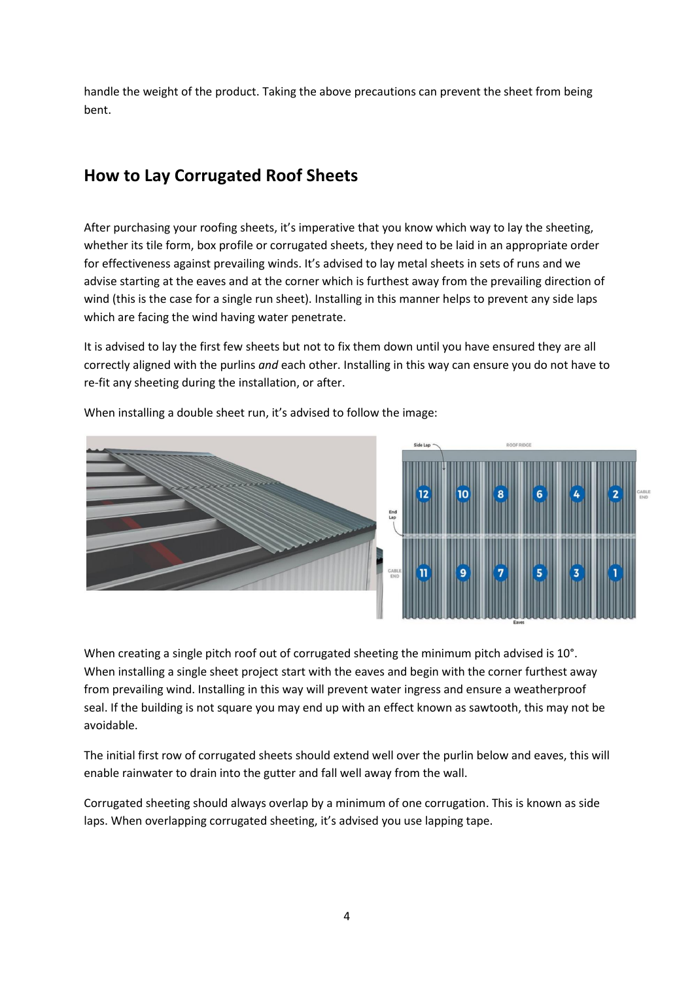handle the weight of the product. Taking the above precautions can prevent the sheet from being bent.

## <span id="page-3-0"></span>**How to Lay Corrugated Roof Sheets**

After purchasing your roofing sheets, it's imperative that you know which way to lay the sheeting, whether its tile form, box profile or corrugated sheets, they need to be laid in an appropriate order for effectiveness against prevailing winds. It's advised to lay metal sheets in sets of runs and we advise starting at the eaves and at the corner which is furthest away from the prevailing direction of wind (this is the case for a single run sheet). Installing in this manner helps to prevent any side laps which are facing the wind having water penetrate.

It is advised to lay the first few sheets but not to fix them down until you have ensured they are all correctly aligned with the purlins *and* each other. Installing in this way can ensure you do not have to re-fit any sheeting during the installation, or after.



When installing a double sheet run, it's advised to follow the image:

When creating a single pitch roof out of corrugated sheeting the minimum pitch advised is 10°. When installing a single sheet project start with the eaves and begin with the corner furthest away from prevailing wind. Installing in this way will prevent water ingress and ensure a weatherproof seal. If the building is not square you may end up with an effect known as sawtooth, this may not be avoidable.

The initial first row of corrugated sheets should extend well over the purlin below and eaves, this will enable rainwater to drain into the gutter and fall well away from the wall.

Corrugated sheeting should always overlap by a minimum of one corrugation. This is known as side laps. When overlapping corrugated sheeting, it's advised you use lapping tape.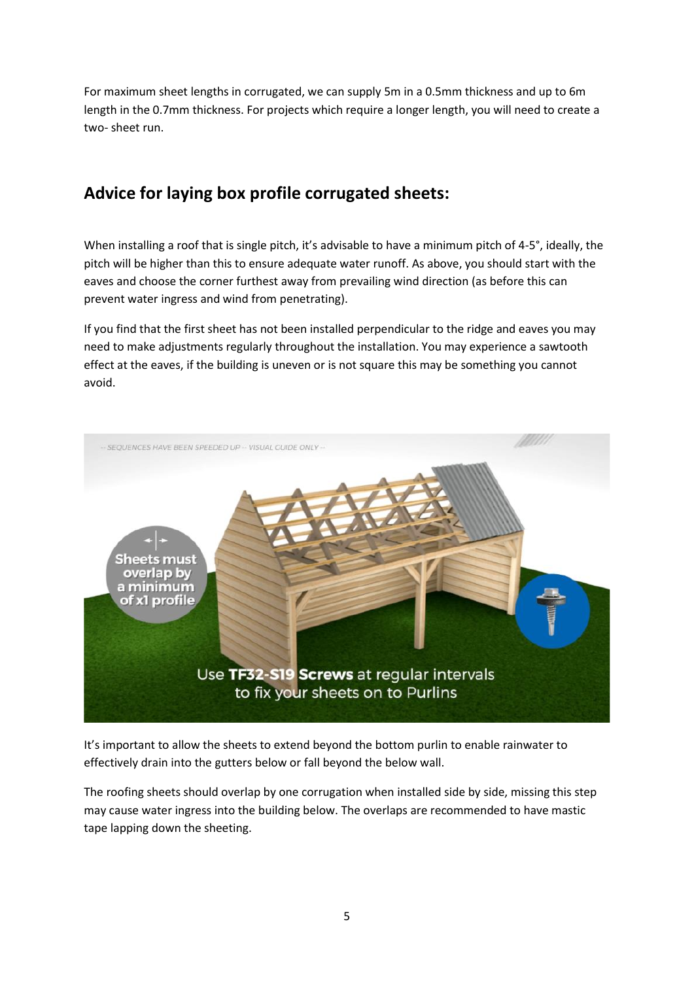For maximum sheet lengths in corrugated, we can supply 5m in a 0.5mm thickness and up to 6m length in the 0.7mm thickness. For projects which require a longer length, you will need to create a two- sheet run.

## <span id="page-4-0"></span>**Advice for laying box profile corrugated sheets:**

When installing a roof that is single pitch, it's advisable to have a minimum pitch of 4-5°, ideally, the pitch will be higher than this to ensure adequate water runoff. As above, you should start with the eaves and choose the corner furthest away from prevailing wind direction (as before this can prevent water ingress and wind from penetrating).

If you find that the first sheet has not been installed perpendicular to the ridge and eaves you may need to make adjustments regularly throughout the installation. You may experience a sawtooth effect at the eaves, if the building is uneven or is not square this may be something you cannot avoid.



It's important to allow the sheets to extend beyond the bottom purlin to enable rainwater to effectively drain into the gutters below or fall beyond the below wall.

The roofing sheets should overlap by one corrugation when installed side by side, missing this step may cause water ingress into the building below. The overlaps are recommended to have mastic tape lapping down the sheeting.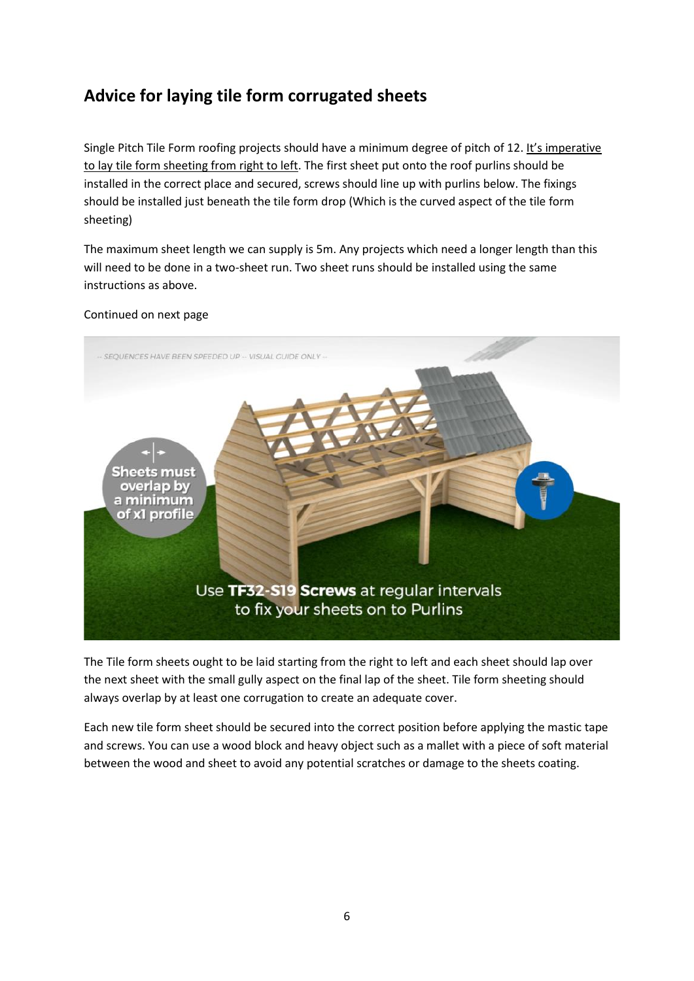## <span id="page-5-0"></span>**Advice for laying tile form corrugated sheets**

Single Pitch Tile Form roofing projects should have a minimum degree of pitch of 12. It's imperative to lay tile form sheeting from right to left. The first sheet put onto the roof purlins should be installed in the correct place and secured, screws should line up with purlins below. The fixings should be installed just beneath the tile form drop (Which is the curved aspect of the tile form sheeting)

The maximum sheet length we can supply is 5m. Any projects which need a longer length than this will need to be done in a two-sheet run. Two sheet runs should be installed using the same instructions as above.

#### Continued on next page



The Tile form sheets ought to be laid starting from the right to left and each sheet should lap over the next sheet with the small gully aspect on the final lap of the sheet. Tile form sheeting should always overlap by at least one corrugation to create an adequate cover.

Each new tile form sheet should be secured into the correct position before applying the mastic tape and screws. You can use a wood block and heavy object such as a mallet with a piece of soft material between the wood and sheet to avoid any potential scratches or damage to the sheets coating.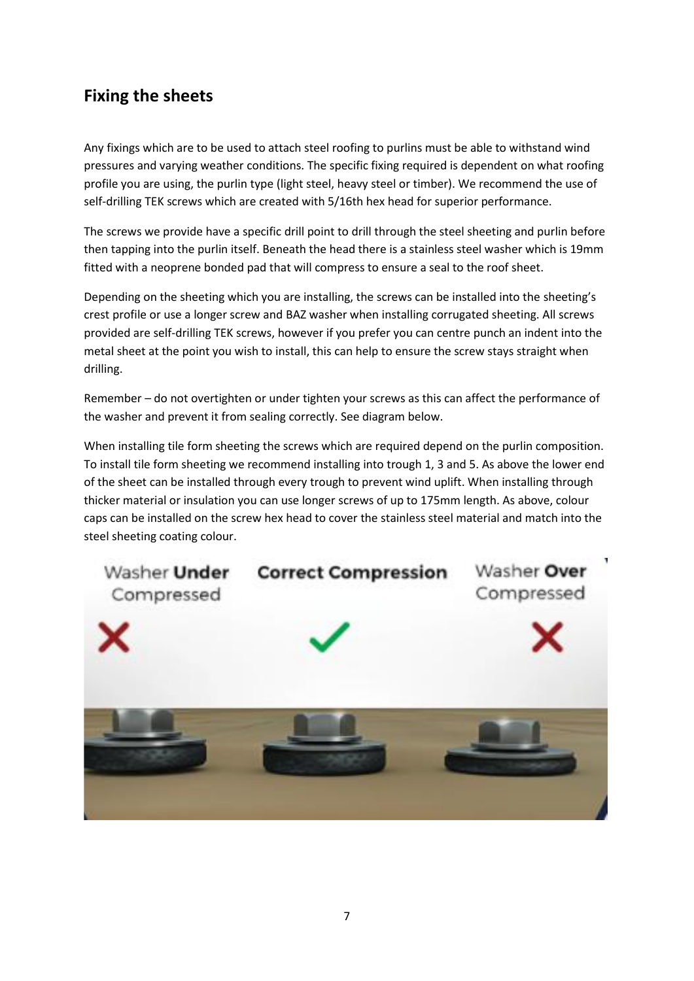## <span id="page-6-0"></span>**Fixing the sheets**

Any fixings which are to be used to attach steel roofing to purlins must be able to withstand wind pressures and varying weather conditions. The specific fixing required is dependent on what roofing profile you are using, the purlin type (light steel, heavy steel or timber). We recommend the use of self-drilling TEK screws which are created with 5/16th hex head for superior performance.

The screws we provide have a specific drill point to drill through the steel sheeting and purlin before then tapping into the purlin itself. Beneath the head there is a stainless steel washer which is 19mm fitted with a neoprene bonded pad that will compress to ensure a seal to the roof sheet.

Depending on the sheeting which you are installing, the screws can be installed into the sheeting's crest profile or use a longer screw and BAZ washer when installing corrugated sheeting. All screws provided are self-drilling TEK screws, however if you prefer you can centre punch an indent into the metal sheet at the point you wish to install, this can help to ensure the screw stays straight when drilling.

Remember – do not overtighten or under tighten your screws as this can affect the performance of the washer and prevent it from sealing correctly. See diagram below.

When installing tile form sheeting the screws which are required depend on the purlin composition. To install tile form sheeting we recommend installing into trough 1, 3 and 5. As above the lower end of the sheet can be installed through every trough to prevent wind uplift. When installing through thicker material or insulation you can use longer screws of up to 175mm length. As above, colour caps can be installed on the screw hex head to cover the stainless steel material and match into the steel sheeting coating colour.

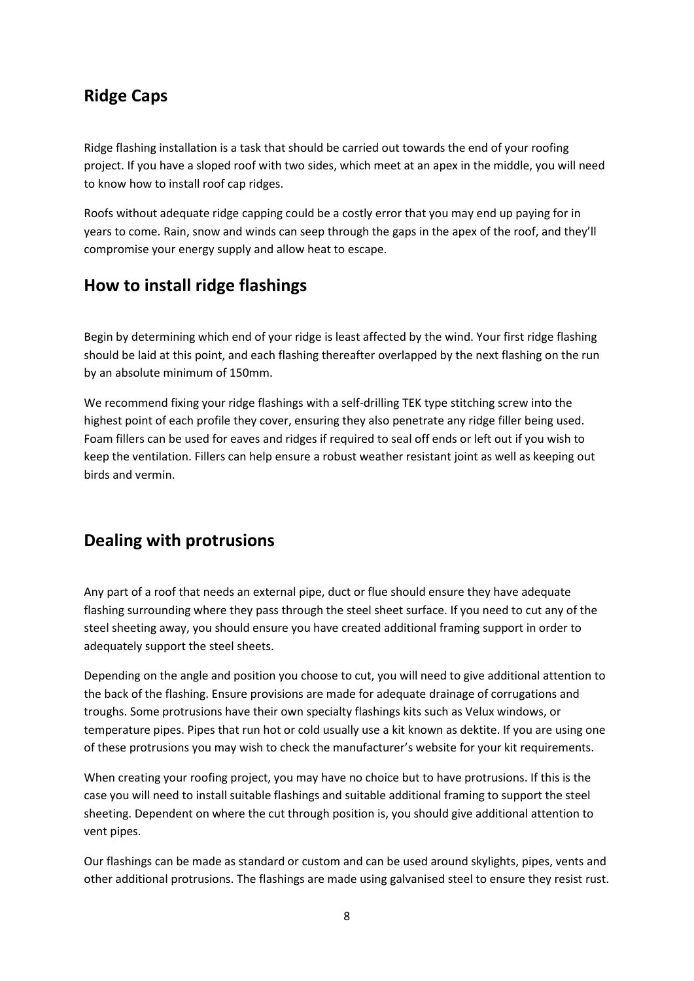#### <span id="page-7-0"></span>**Ridge Caps**

Ridge flashing installation is a task that should be carried out towards the end of your roofing project. If you have a sloped roof with two sides, which meet at an apex in the middle, you will need to know how to install roof cap ridges.

Roofs without adequate ridge capping could be a costly error that you may end up paying for in years to come. Rain, snow and winds can seep through the gaps in the apex of the roof, and they'll compromise your energy supply and allow heat to escape.

## <span id="page-7-1"></span>**How to install ridge flashings**

Begin by determining which end of your ridge is least affected by the wind. Your first ridge flashing should be laid at this point, and each flashing thereafter overlapped by the next flashing on the run by an absolute minimum of 150mm.

We recommend fixing your ridge flashings with a self-drilling TEK type stitching screw into the highest point of each profile they cover, ensuring they also penetrate any ridge filler being used. Foam fillers can be used for eaves and ridges if required to seal off ends or left out if you wish to keep the ventilation. Fillers can help ensure a robust weather resistant joint as well as keeping out birds and vermin.

## <span id="page-7-2"></span>**Dealing with protrusions**

Any part of a roof that needs an external pipe, duct or flue should ensure they have adequate flashing surrounding where they pass through the steel sheet surface. If you need to cut any of the steel sheeting away, you should ensure you have created additional framing support in order to adequately support the steel sheets.

Depending on the angle and position you choose to cut, you will need to give additional attention to the back of the flashing. Ensure provisions are made for adequate drainage of corrugations and troughs. Some protrusions have their own specialty flashings kits such as Velux windows, or temperature pipes. Pipes that run hot or cold usually use a kit known as dektite. If you are using one of these protrusions you may wish to check the manufacturer's website for your kit requirements.

When creating your roofing project, you may have no choice but to have protrusions. If this is the case you will need to install suitable flashings and suitable additional framing to support the steel sheeting. Dependent on where the cut through position is, you should give additional attention to vent pipes.

Our flashings can be made as standard or custom and can be used around skylights, pipes, vents and other additional protrusions. The flashings are made using galvanised steel to ensure they resist rust.